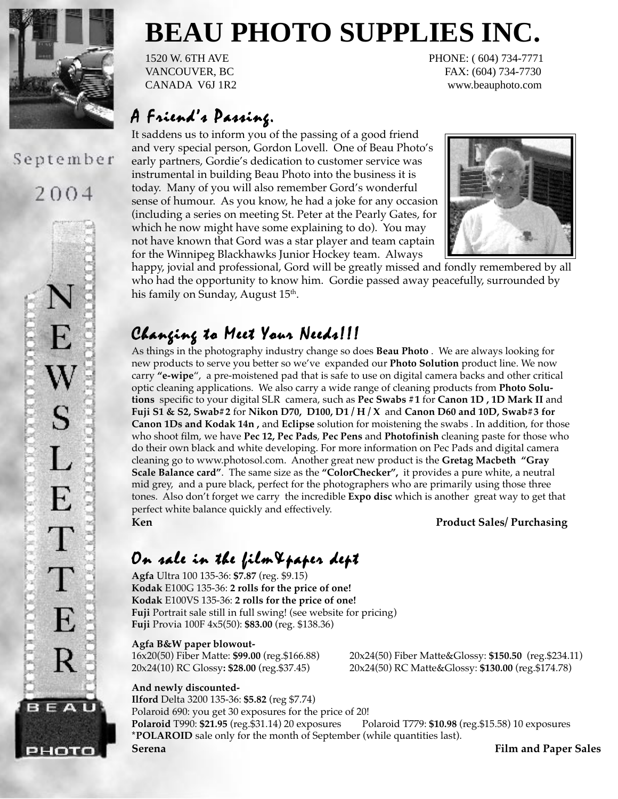

### September

2004



# **BEAU PHOTO SUPPLIES INC.**

1520 W. 6TH AVE PHONE: ( 604) 734-7771 VANCOUVER, BC FAX: (604) 734-7730 CANADA V6J 1R2 www.beauphoto.com

### $A$  Friend's Passing.

It saddens us to inform you of the passing of a good friend and very special person, Gordon Lovell. One of Beau Photo's early partners, Gordie's dedication to customer service was instrumental in building Beau Photo into the business it is today. Many of you will also remember Gord's wonderful sense of humour. As you know, he had a joke for any occasion (including a series on meeting St. Peter at the Pearly Gates, for which he now might have some explaining to do). You may not have known that Gord was a star player and team captain for the Winnipeg Blackhawks Junior Hockey team. Always



happy, jovial and professional, Gord will be greatly missed and fondly remembered by all who had the opportunity to know him. Gordie passed away peacefully, surrounded by his family on Sunday, August 15<sup>th</sup>.

### Changing to Meet Your Needs!!!

As things in the photography industry change so does **Beau Photo** . We are always looking for new products to serve you better so we've expanded our **Photo Solution** product line. We now carry **"e-wipe**", a pre-moistened pad that is safe to use on digital camera backs and other critical optic cleaning applications. We also carry a wide range of cleaning products from **Photo Solutions** specific to your digital SLR camera, such as **Pec Swabs #1** for **Canon 1D , 1D Mark II** and **Fuji S1 & S2, Swab#2** for **Nikon D70, D100, D1 / H / X** and **Canon D60 and 10D, Swab#3 for Canon 1Ds and Kodak 14n ,** and **Eclipse** solution for moistening the swabs . In addition, for those who shoot film, we have **Pec 12, Pec Pads**, **Pec Pens** and **Photofinish** cleaning paste for those who do their own black and white developing. For more information on Pec Pads and digital camera cleaning go to www.photosol.com. Another great new product is the **Gretag Macbeth "Gray Scale Balance card"**. The same size as the **"ColorChecker",** it provides a pure white, a neutral mid grey, and a pure black, perfect for the photographers who are primarily using those three tones. Also don't forget we carry the incredible **Expo disc** which is another great way to get that perfect white balance quickly and effectively. **Ken Product Sales/ Purchasing**

## On sale in the film&paper dept

**Agfa** Ultra 100 135-36: **\$7.87** (reg. \$9.15) **Kodak** E100G 135-36: **2 rolls for the price of one! Kodak** E100VS 135-36: **2 rolls for the price of one! Fuji** Portrait sale still in full swing! (see website for pricing) **Fuji** Provia 100F 4x5(50): **\$83.00** (reg. \$138.36)

#### **Agfa B&W paper blowout-**

16x20(50) Fiber Matte: **\$99.00** (reg.\$166.88) 20x24(50) Fiber Matte&Glossy: **\$150.50** (reg.\$234.11) 20x24(10) RC Glossy**: \$28.00** (reg.\$37.45) 20x24(50) RC Matte&Glossy: **\$130.00** (reg.\$174.78)

#### **And newly discounted-**

**Ilford** Delta 3200 135-36: **\$5.82** (reg \$7.74) Polaroid 690: you get 30 exposures for the price of 20! **Polaroid** T990: **\$21.95** (reg.\$31.14) 20 exposures Polaroid T779: **\$10.98** (reg.\$15.58) 10 exposures **\*POLAROID** sale only for the month of September (while quantities last). **Serena Film and Paper Sales**